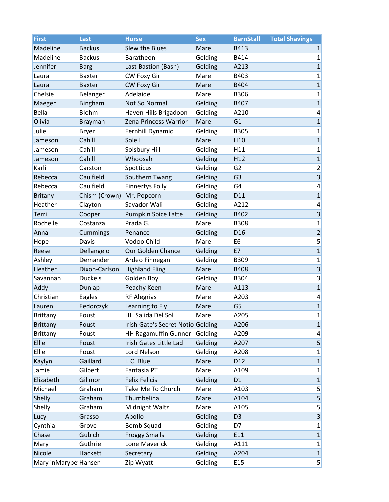| <b>First</b>         | Last           | <b>Horse</b>                      | <b>Sex</b> | <b>BarnStall</b> | <b>Total Shavings</b>   |
|----------------------|----------------|-----------------------------------|------------|------------------|-------------------------|
| Madeline             | <b>Backus</b>  | Slew the Blues                    | Mare       | B413             | $1\vert$                |
| Madeline             | <b>Backus</b>  | Baratheon                         | Gelding    | B414             | $1\vert$                |
| Jennifer             | <b>Barg</b>    | Last Bastion (Bash)               | Gelding    | A213             | $1\vert$                |
| Laura                | <b>Baxter</b>  | CW Foxy Girl                      | Mare       | B403             | $1\vert$                |
| Laura                | <b>Baxter</b>  | <b>CW Foxy Girl</b>               | Mare       | B404             | $1\vert$                |
| Chelsie              | Belanger       | Adelaide                          | Mare       | <b>B306</b>      | $\mathbf{1}$            |
| Maegen               | Bingham        | Not So Normal                     | Gelding    | B407             | 1                       |
| Bella                | Blohm          | Haven Hills Brigadoon             | Gelding    | A210             | $\vert 4 \vert$         |
| Olivia               | Brayman        | Zena Princess Warrior             | Mare       | G1               | 1                       |
| Julie                | <b>Bryer</b>   | Fernhill Dynamic                  | Gelding    | <b>B305</b>      | $1\vert$                |
| Jameson              | Cahill         | Soleil                            | Mare       | H <sub>10</sub>  | 1                       |
| Jameson              | Cahill         | Solsbury Hill                     | Gelding    | H11              | $1\vert$                |
| Jameson              | Cahill         | Whoosah                           | Gelding    | H12              | 1                       |
| Karli                | Carston        | Spotticus                         | Gelding    | G <sub>2</sub>   | $\overline{2}$          |
| Rebecca              | Caulfield      | Southern Twang                    | Gelding    | G <sub>3</sub>   | $\overline{\mathbf{3}}$ |
| Rebecca              | Caulfield      | <b>Finnertys Folly</b>            | Gelding    | G4               | $\vert 4 \vert$         |
| <b>Britany</b>       | Chism (Crown)  | Mr. Popcorn                       | Gelding    | D11              | 1                       |
| Heather              | Clayton        | Savador Wali                      | Gelding    | A212             | $\vert 4 \vert$         |
| Terri                | Cooper         | <b>Pumpkin Spice Latte</b>        | Gelding    | B402             | $\overline{\mathbf{3}}$ |
| Rochelle             | Costanza       | Prada G.                          | Mare       | <b>B308</b>      | $1\vert$                |
| Anna                 | Cummings       | Penance                           | Gelding    | D <sub>16</sub>  | $\overline{2}$          |
| Hope                 | Davis          | Vodoo Child                       | Mare       | E <sub>6</sub>   | $\mathsf{5}$            |
| Reese                | Dellangelo     | Our Golden Chance                 | Gelding    | E7               | 1                       |
| Ashley               | Demander       | Ardeo Finnegan                    | Gelding    | B309             | $1\vert$                |
| Heather              | Dixon-Carlson  | <b>Highland Fling</b>             | Mare       | B408             | $\vert 3 \vert$         |
| Savannah             | <b>Duckels</b> | Golden Boy                        | Gelding    | B304             | $\vert 3 \vert$         |
| Addy                 | Dunlap         | Peachy Keen                       | Mare       | A113             | $\mathbf{1}$            |
| Christian            | Eagles         | <b>RF Alegrias</b>                | Mare       | A203             | $\vert 4 \vert$         |
| Lauren               | Fedorczyk      | Learning to Fly                   | Mare       | G <sub>5</sub>   | $1\vert$                |
| Brittany             | Foust          | HH Salida Del Sol                 | Mare       | A205             | $1\vert$                |
| <b>Brittany</b>      | Foust          | Irish Gate's Secret Notio Gelding |            | A206             | $1\vert$                |
| <b>Brittany</b>      | Foust          | HH Ragamuffin Gunner Gelding      |            | A209             | $\vert 4 \vert$         |
| Ellie                | Foust          | Irish Gates Little Lad            | Gelding    | A207             | 5 <sup>2</sup>          |
| Ellie                | Foust          | Lord Nelson                       | Gelding    | A208             | $1\vert$                |
| Kaylyn               | Gaillard       | I. C. Blue                        | Mare       | D12              | $1\vert$                |
| Jamie                | Gilbert        | Fantasia PT                       | Mare       | A109             | $1\vert$                |
| Elizabeth            | Gillmor        | <b>Felix Felicis</b>              | Gelding    | D1               | $1\vert$                |
| Michael              | Graham         | Take Me To Church                 | Mare       | A103             | $\overline{5}$          |
| Shelly               | Graham         | Thumbelina                        | Mare       | A104             | 5                       |
| Shelly               | Graham         | Midnight Waltz                    | Mare       | A105             | $\mathsf{5}$            |
| Lucy                 | Grasso         | Apollo                            | Gelding    | D <sub>3</sub>   | $\overline{\mathbf{3}}$ |
| Cynthia              | Grove          | <b>Bomb Squad</b>                 | Gelding    | D7               | $1\vert$                |
| Chase                | Gubich         | <b>Froggy Smalls</b>              | Gelding    | E11              | $1\vert$                |
| Mary                 | Guthrie        | Lone Maverick                     | Gelding    | A111             | $\mathbf{1}$            |
| Nicole               | Hackett        | Secretary                         | Gelding    | A204             | 1                       |
| Mary inMarybe Hansen |                | Zip Wyatt                         | Gelding    | E15              | 5 <sup>2</sup>          |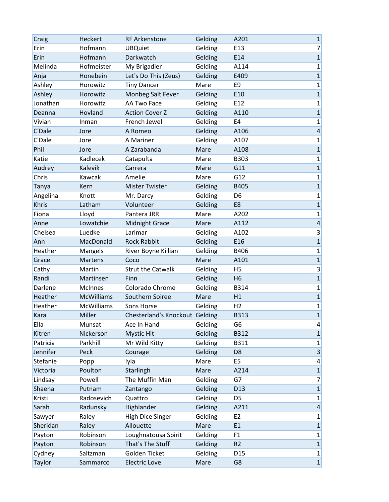| Craig        | Heckert           | <b>RF Arkenstone</b>           | Gelding | A201            | $\mathbf 1$             |
|--------------|-------------------|--------------------------------|---------|-----------------|-------------------------|
| Erin         | Hofmann           | <b>UBQuiet</b>                 | Gelding | E13             | $\overline{7}$          |
| Erin         | Hofmann           | Darkwatch                      | Gelding | E14             | $\overline{\mathbf{1}}$ |
| Melinda      | Hofmeister        | My Brigadier                   | Gelding | A114            | $\mathbf 1$             |
| Anja         | Honebein          | Let's Do This (Zeus)           | Gelding | E409            | $\overline{1}$          |
| Ashley       | Horowitz          | <b>Tiny Dancer</b>             | Mare    | E <sub>9</sub>  | $\mathbf 1$             |
| Ashley       | Horowitz          | Monbeg Salt Fever              | Gelding | E10             | $\mathbf{1}$            |
| Jonathan     | Horowitz          | AA Two Face                    | Gelding | E <sub>12</sub> | $\mathbf 1$             |
| Deanna       | Hovland           | <b>Action Cover Z</b>          | Gelding | A110            | $\mathbf{1}$            |
| Vivian       | Inman             | French Jewel                   | Gelding | E4              | $\mathbf{1}$            |
| C'Dale       | Jore              | A Romeo                        | Gelding | A106            | $\overline{\mathbf{4}}$ |
| C'Dale       | Jore              | A Mariner                      | Gelding | A107            | $\mathbf{1}$            |
| Phil         | Jore              | A Zarabanda                    | Mare    | A108            | $\overline{1}$          |
| Katie        | Kadlecek          | Catapulta                      | Mare    | B303            | $\mathbf 1$             |
| Audrey       | Kalevik           | Carrera                        | Mare    | G11             | $\overline{1}$          |
| Chris        | Kawcak            | Amelie                         | Mare    | G12             | $\mathbf 1$             |
| Tanya        | Kern              | <b>Mister Twister</b>          | Gelding | B405            | $\overline{1}$          |
| Angelina     | Knott             | Mr. Darcy                      | Gelding | D <sub>6</sub>  | $\mathbf 1$             |
| <b>Khris</b> | Latham            | Volunteer                      | Gelding | E8              | $\overline{1}$          |
| Fiona        | Lloyd             | Pantera JRR                    | Mare    | A202            | $\mathbf 1$             |
| Anne         | Lowatchie         | <b>Midnight Grace</b>          | Mare    | A112            | $\overline{\mathbf{4}}$ |
| Chelsea      | Luedke            | Larimar                        | Gelding | A102            | 3                       |
| Ann          | MacDonald         | <b>Rock Rabbit</b>             | Gelding | E16             | $\overline{1}$          |
| Heather      | Mangels           | River Boyne Killian            | Gelding | B406            | $\mathbf 1$             |
| Grace        | <b>Martens</b>    | Coco                           | Mare    | A101            | $\overline{1}$          |
| Cathy        | Martin            | <b>Strut the Catwalk</b>       | Gelding | H <sub>5</sub>  | 3                       |
| Randi        | Martinsen         | Finn                           | Gelding | H <sub>6</sub>  | $\overline{1}$          |
| Darlene      | <b>McInnes</b>    | Colorado Chrome                | Gelding | <b>B314</b>     | $\mathbf 1$             |
| Heather      | <b>McWilliams</b> | Southern Soiree                | Mare    | H1              | $\overline{1}$          |
| Heather      | <b>McWilliams</b> | Sons Horse                     | Gelding | H <sub>2</sub>  | $\mathbf 1$             |
| Kara         | Miller            | Chesterland's Knockout Gelding |         | <b>B313</b>     | $\overline{1}$          |
| Ella         | Munsat            | Ace In Hand                    | Gelding | G6              | 4                       |
| Kitren       | Nickerson         | <b>Mystic Hit</b>              | Gelding | B312            | $\mathbf 1$             |
| Patricia     | Parkhill          | Mr Wild Kitty                  | Gelding | B311            | $\mathbf 1$             |
| Jennifer     | Peck              | Courage                        | Gelding | D <sub>8</sub>  | $\overline{\mathbf{3}}$ |
| Stefanie     | Popp              | Iyla                           | Mare    | E <sub>5</sub>  | $\pmb{4}$               |
| Victoria     | Poulton           | Starlingh                      | Mare    | A214            | $\overline{1}$          |
| Lindsay      | Powell            | The Muffin Man                 | Gelding | G7              | $\overline{7}$          |
| Shaena       | Putnam            | Zantango                       | Gelding | D13             | $\overline{1}$          |
| Kristi       | Radosevich        | Quattro                        | Gelding | D <sub>5</sub>  | $\mathbf 1$             |
| Sarah        | Radunsky          | Highlander                     | Gelding | A211            | $\overline{\mathbf{4}}$ |
| Sawyer       | Raley             | <b>High Dice Singer</b>        | Gelding | E <sub>2</sub>  | $\mathbf 1$             |
| Sheridan     | Raley             | Allouette                      | Mare    | E1              | $\mathbf{1}$            |
| Payton       | Robinson          | Loughnatousa Spirit            | Gelding | F1              | $\mathbf 1$             |
| Payton       | Robinson          | That's The Stuff               | Gelding | R <sub>2</sub>  | $\mathbf 1$             |
| Cydney       | Saltzman          | Golden Ticket                  | Gelding | D <sub>15</sub> | $\mathbf 1$             |
| Taylor       | Sammarco          | <b>Electric Love</b>           | Mare    | G8              | $\mathbf{1}$            |